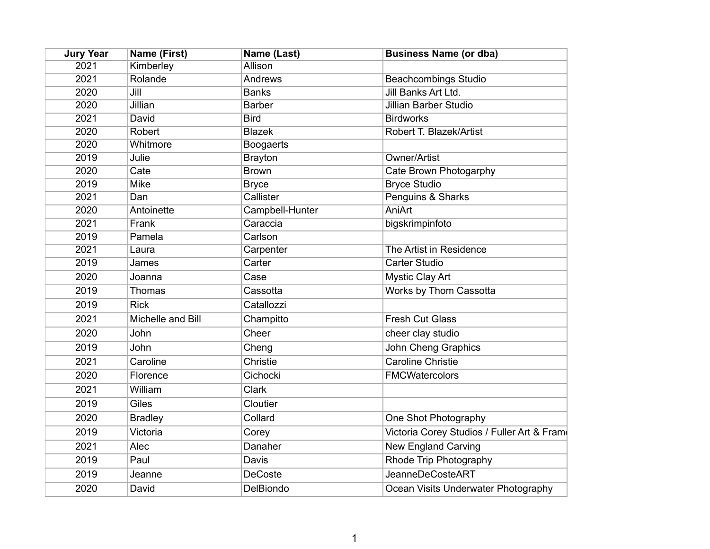| <b>Jury Year</b> | <b>Name (First)</b> | Name (Last)      | <b>Business Name (or dba)</b>              |
|------------------|---------------------|------------------|--------------------------------------------|
| 2021             | Kimberley           | <b>Allison</b>   |                                            |
| 2021             | Rolande             | <b>Andrews</b>   | <b>Beachcombings Studio</b>                |
| 2020             | Jill                | <b>Banks</b>     | Jill Banks Art Ltd.                        |
| 2020             | Jillian             | <b>Barber</b>    | <b>Jillian Barber Studio</b>               |
| 2021             | David               | <b>Bird</b>      | <b>Birdworks</b>                           |
| 2020             | Robert              | <b>Blazek</b>    | Robert T. Blazek/Artist                    |
| 2020             | Whitmore            | <b>Boogaerts</b> |                                            |
| 2019             | Julie               | <b>Brayton</b>   | Owner/Artist                               |
| 2020             | Cate                | <b>Brown</b>     | Cate Brown Photogarphy                     |
| 2019             | <b>Mike</b>         | <b>Bryce</b>     | <b>Bryce Studio</b>                        |
| 2021             | Dan                 | Callister        | Penguins & Sharks                          |
| 2020             | Antoinette          | Campbell-Hunter  | <b>AniArt</b>                              |
| 2021             | Frank               | Caraccia         | bigskrimpinfoto                            |
| 2019             | Pamela              | Carlson          |                                            |
| 2021             | Laura               | Carpenter        | The Artist in Residence                    |
| 2019             | James               | Carter           | <b>Carter Studio</b>                       |
| 2020             | Joanna              | Case             | <b>Mystic Clay Art</b>                     |
| 2019             | Thomas              | Cassotta         | Works by Thom Cassotta                     |
| 2019             | <b>Rick</b>         | Catallozzi       |                                            |
| 2021             | Michelle and Bill   | Champitto        | <b>Fresh Cut Glass</b>                     |
| 2020             | John                | Cheer            | cheer clay studio                          |
| 2019             | John                | Cheng            | John Cheng Graphics                        |
| 2021             | Caroline            | Christie         | <b>Caroline Christie</b>                   |
| 2020             | Florence            | Cichocki         | <b>FMCWatercolors</b>                      |
| 2021             | William             | Clark            |                                            |
| 2019             | Giles               | Cloutier         |                                            |
| 2020             | <b>Bradley</b>      | Collard          | One Shot Photography                       |
| 2019             | Victoria            | Corey            | Victoria Corey Studios / Fuller Art & Fram |
| 2021             | Alec                | Danaher          | <b>New England Carving</b>                 |
| 2019             | Paul                | Davis            | Rhode Trip Photography                     |
| 2019             | Jeanne              | <b>DeCoste</b>   | <b>JeanneDeCosteART</b>                    |
| 2020             | David               | DelBiondo        | Ocean Visits Underwater Photography        |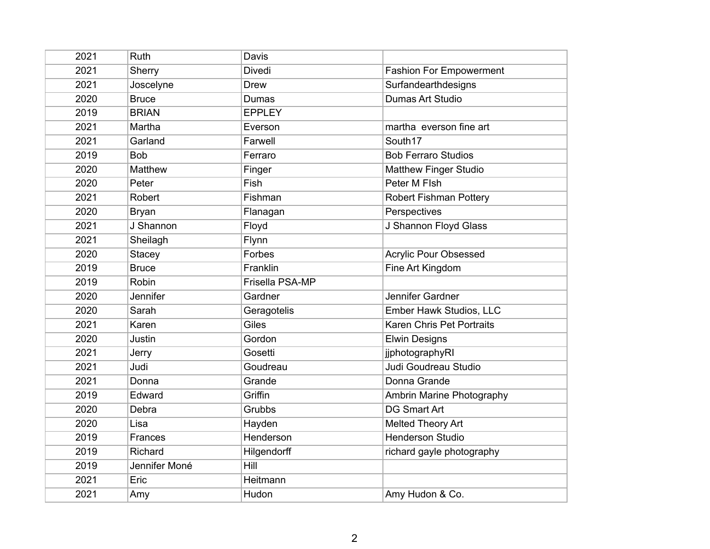| 2021 | Ruth           | Davis           |                                |
|------|----------------|-----------------|--------------------------------|
| 2021 | Sherry         | Divedi          | <b>Fashion For Empowerment</b> |
| 2021 | Joscelyne      | <b>Drew</b>     | Surfandearthdesigns            |
| 2020 | <b>Bruce</b>   | Dumas           | Dumas Art Studio               |
| 2019 | <b>BRIAN</b>   | <b>EPPLEY</b>   |                                |
| 2021 | Martha         | Everson         | martha everson fine art        |
| 2021 | Garland        | Farwell         | South17                        |
| 2019 | <b>Bob</b>     | Ferraro         | <b>Bob Ferraro Studios</b>     |
| 2020 | <b>Matthew</b> | Finger          | <b>Matthew Finger Studio</b>   |
| 2020 | Peter          | Fish            | Peter M FIsh                   |
| 2021 | Robert         | Fishman         | <b>Robert Fishman Pottery</b>  |
| 2020 | <b>Bryan</b>   | Flanagan        | Perspectives                   |
| 2021 | J Shannon      | Floyd           | J Shannon Floyd Glass          |
| 2021 | Sheilagh       | Flynn           |                                |
| 2020 | <b>Stacey</b>  | Forbes          | <b>Acrylic Pour Obsessed</b>   |
| 2019 | <b>Bruce</b>   | Franklin        | Fine Art Kingdom               |
| 2019 | Robin          | Frisella PSA-MP |                                |
| 2020 | Jennifer       | Gardner         | Jennifer Gardner               |
| 2020 | Sarah          | Geragotelis     | Ember Hawk Studios, LLC        |
| 2021 | Karen          | Giles           | Karen Chris Pet Portraits      |
| 2020 | Justin         | Gordon          | <b>Elwin Designs</b>           |
| 2021 | Jerry          | Gosetti         | jjphotographyRI                |
| 2021 | Judi           | Goudreau        | Judi Goudreau Studio           |
| 2021 | Donna          | Grande          | Donna Grande                   |
| 2019 | Edward         | Griffin         | Ambrin Marine Photography      |
| 2020 | Debra          | Grubbs          | <b>DG Smart Art</b>            |
| 2020 | Lisa           | Hayden          | Melted Theory Art              |
| 2019 | Frances        | Henderson       | <b>Henderson Studio</b>        |
| 2019 | Richard        | Hilgendorff     | richard gayle photography      |
| 2019 | Jennifer Moné  | Hill            |                                |
| 2021 | Eric           | Heitmann        |                                |
| 2021 | Amy            | Hudon           | Amy Hudon & Co.                |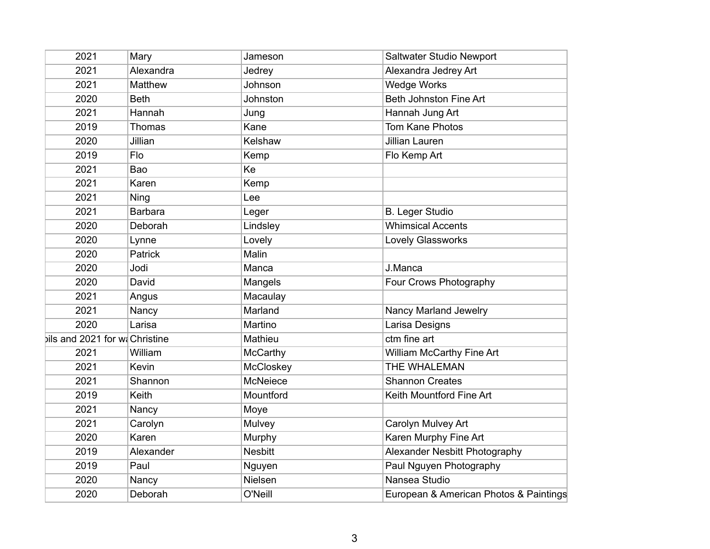| 2021                           | Mary           | Jameson        | Saltwater Studio Newport               |
|--------------------------------|----------------|----------------|----------------------------------------|
| 2021                           | Alexandra      | Jedrey         | Alexandra Jedrey Art                   |
| 2021                           | Matthew        | Johnson        | <b>Wedge Works</b>                     |
| 2020                           | <b>Beth</b>    | Johnston       | Beth Johnston Fine Art                 |
| 2021                           | Hannah         | Jung           | Hannah Jung Art                        |
| 2019                           | Thomas         | Kane           | <b>Tom Kane Photos</b>                 |
| 2020                           | Jillian        | Kelshaw        | <b>Jillian Lauren</b>                  |
| 2019                           | Flo            | Kemp           | Flo Kemp Art                           |
| 2021                           | Bao            | Ke             |                                        |
| 2021                           | Karen          | Kemp           |                                        |
| 2021                           | Ning           | Lee            |                                        |
| 2021                           | <b>Barbara</b> | Leger          | <b>B. Leger Studio</b>                 |
| 2020                           | Deborah        | Lindsley       | <b>Whimsical Accents</b>               |
| 2020                           | Lynne          | Lovely         | <b>Lovely Glassworks</b>               |
| 2020                           | Patrick        | Malin          |                                        |
| 2020                           | Jodi           | Manca          | J.Manca                                |
| 2020                           | David          | Mangels        | Four Crows Photography                 |
| 2021                           | Angus          | Macaulay       |                                        |
| 2021                           | Nancy          | Marland        | Nancy Marland Jewelry                  |
| 2020                           | Larisa         | Martino        | Larisa Designs                         |
| bils and 2021 for wi Christine |                | Mathieu        | ctm fine art                           |
| 2021                           | William        | McCarthy       | William McCarthy Fine Art              |
| 2021                           | Kevin          | McCloskey      | THE WHALEMAN                           |
| 2021                           | Shannon        | McNeiece       | <b>Shannon Creates</b>                 |
| 2019                           | Keith          | Mountford      | Keith Mountford Fine Art               |
| 2021                           | Nancy          | Moye           |                                        |
| 2021                           | Carolyn        | Mulvey         | Carolyn Mulvey Art                     |
| 2020                           | Karen          | Murphy         | Karen Murphy Fine Art                  |
| 2019                           | Alexander      | <b>Nesbitt</b> | Alexander Nesbitt Photography          |
| 2019                           | Paul           | Nguyen         | Paul Nguyen Photography                |
| 2020                           | Nancy          | Nielsen        | Nansea Studio                          |
| 2020                           | Deborah        | O'Neill        | European & American Photos & Paintings |
|                                |                |                |                                        |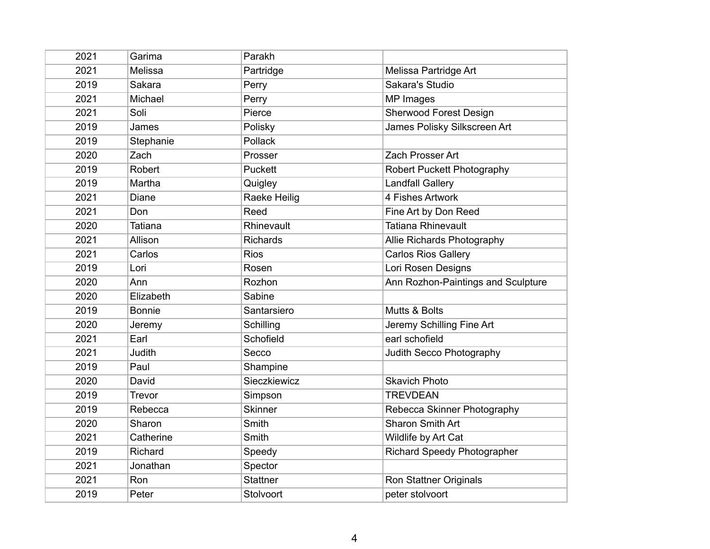| 2021 | Garima         | Parakh              |                                    |
|------|----------------|---------------------|------------------------------------|
| 2021 | Melissa        | Partridge           | Melissa Partridge Art              |
| 2019 | Sakara         | Perry               | Sakara's Studio                    |
| 2021 | Michael        | Perry               | MP Images                          |
| 2021 | Soli           | Pierce              | <b>Sherwood Forest Design</b>      |
| 2019 | James          | Polisky             | James Polisky Silkscreen Art       |
| 2019 | Stephanie      | Pollack             |                                    |
| 2020 | Zach           | Prosser             | Zach Prosser Art                   |
| 2019 | Robert         | Puckett             | <b>Robert Puckett Photography</b>  |
| 2019 | Martha         | Quigley             | <b>Landfall Gallery</b>            |
| 2021 | Diane          | <b>Raeke Heilig</b> | 4 Fishes Artwork                   |
| 2021 | Don            | Reed                | Fine Art by Don Reed               |
| 2020 | <b>Tatiana</b> | Rhinevault          | <b>Tatiana Rhinevault</b>          |
| 2021 | Allison        | <b>Richards</b>     | Allie Richards Photography         |
| 2021 | Carlos         | <b>Rios</b>         | <b>Carlos Rios Gallery</b>         |
| 2019 | Lori           | Rosen               | Lori Rosen Designs                 |
| 2020 | Ann            | Rozhon              | Ann Rozhon-Paintings and Sculpture |
| 2020 | Elizabeth      | Sabine              |                                    |
| 2019 | <b>Bonnie</b>  | Santarsiero         | Mutts & Bolts                      |
| 2020 | Jeremy         | Schilling           | Jeremy Schilling Fine Art          |
| 2021 | Earl           | Schofield           | earl schofield                     |
| 2021 | Judith         | Secco               | Judith Secco Photography           |
| 2019 | Paul           | Shampine            |                                    |
| 2020 | David          | Sieczkiewicz        | <b>Skavich Photo</b>               |
| 2019 | Trevor         | Simpson             | <b>TREVDEAN</b>                    |
| 2019 | Rebecca        | <b>Skinner</b>      | Rebecca Skinner Photography        |
| 2020 | Sharon         | Smith               | <b>Sharon Smith Art</b>            |
| 2021 | Catherine      | Smith               | Wildlife by Art Cat                |
| 2019 | Richard        | Speedy              | <b>Richard Speedy Photographer</b> |
| 2021 | Jonathan       | Spector             |                                    |
| 2021 | Ron            | <b>Stattner</b>     | <b>Ron Stattner Originals</b>      |
| 2019 | Peter          | Stolvoort           | peter stolvoort                    |